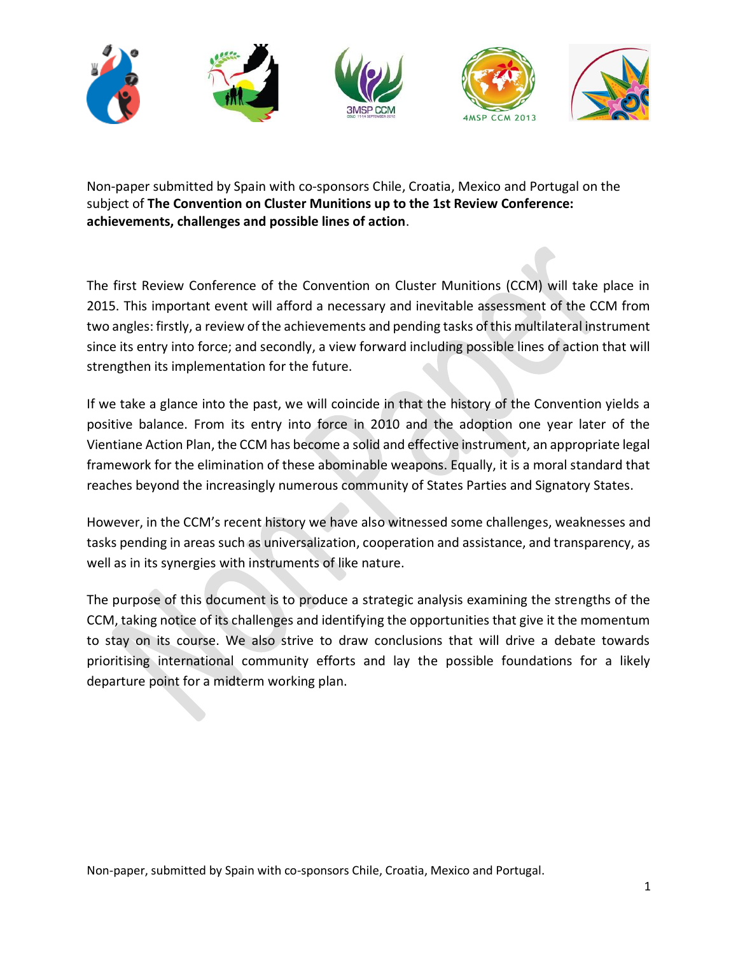

Non-paper submitted by Spain with co-sponsors Chile, Croatia, Mexico and Portugal on the subject of **The Convention on Cluster Munitions up to the 1st Review Conference: achievements, challenges and possible lines of action**.

The first Review Conference of the Convention on Cluster Munitions (CCM) will take place in 2015. This important event will afford a necessary and inevitable assessment of the CCM from two angles: firstly, a review of the achievements and pending tasks of this multilateral instrument since its entry into force; and secondly, a view forward including possible lines of action that will strengthen its implementation for the future.

If we take a glance into the past, we will coincide in that the history of the Convention yields a positive balance. From its entry into force in 2010 and the adoption one year later of the Vientiane Action Plan, the CCM has become a solid and effective instrument, an appropriate legal framework for the elimination of these abominable weapons. Equally, it is a moral standard that reaches beyond the increasingly numerous community of States Parties and Signatory States.

However, in the CCM's recent history we have also witnessed some challenges, weaknesses and tasks pending in areas such as universalization, cooperation and assistance, and transparency, as well as in its synergies with instruments of like nature.

The purpose of this document is to produce a strategic analysis examining the strengths of the CCM, taking notice of its challenges and identifying the opportunities that give it the momentum to stay on its course. We also strive to draw conclusions that will drive a debate towards prioritising international community efforts and lay the possible foundations for a likely departure point for a midterm working plan.

Non-paper, submitted by Spain with co-sponsors Chile, Croatia, Mexico and Portugal.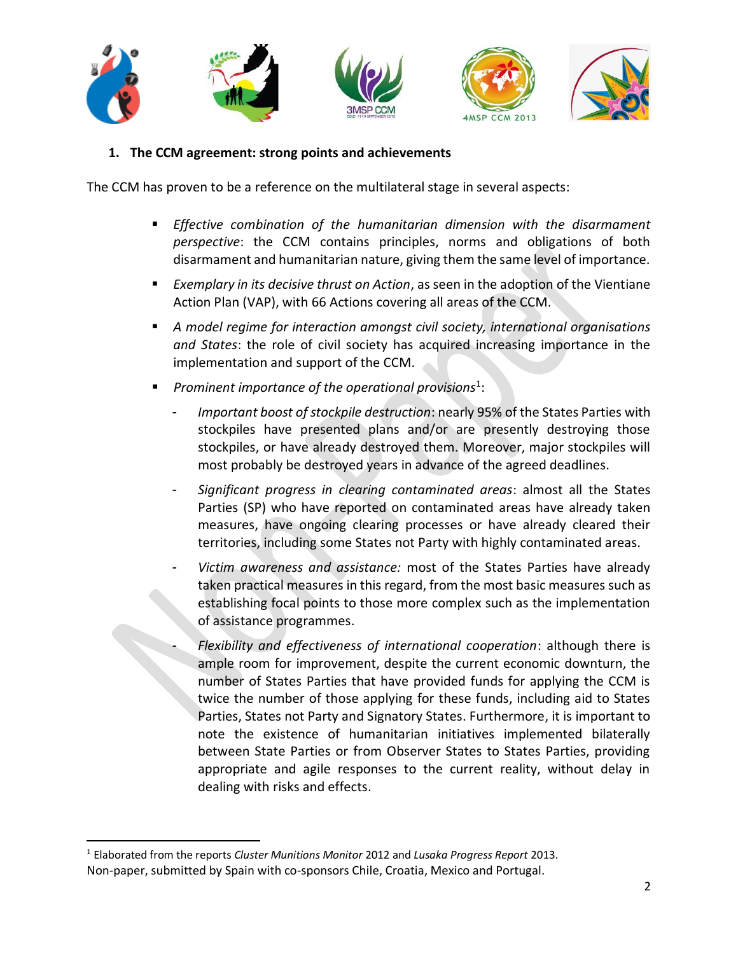



## **1. The CCM agreement: strong points and achievements**

The CCM has proven to be a reference on the multilateral stage in several aspects:

- *Effective combination of the humanitarian dimension with the disarmament perspective*: the CCM contains principles, norms and obligations of both disarmament and humanitarian nature, giving them the same level of importance.
- *Exemplary in its decisive thrust on Action*, as seen in the adoption of the Vientiane Action Plan (VAP), with 66 Actions covering all areas of the CCM.
- *A model regime for interaction amongst civil society, international organisations and States*: the role of civil society has acquired increasing importance in the implementation and support of the CCM.
- Prominent importance of the operational provisions<sup>1</sup>:
	- *Important boost of stockpile destruction*: nearly 95% of the States Parties with stockpiles have presented plans and/or are presently destroying those stockpiles, or have already destroyed them. Moreover, major stockpiles will most probably be destroyed years in advance of the agreed deadlines.
	- *Significant progress in clearing contaminated areas*: almost all the States Parties (SP) who have reported on contaminated areas have already taken measures, have ongoing clearing processes or have already cleared their territories, including some States not Party with highly contaminated areas.
	- *Victim awareness and assistance:* most of the States Parties have already taken practical measures in this regard, from the most basic measures such as establishing focal points to those more complex such as the implementation of assistance programmes.
	- *Flexibility and effectiveness of international cooperation*: although there is ample room for improvement, despite the current economic downturn, the number of States Parties that have provided funds for applying the CCM is twice the number of those applying for these funds, including aid to States Parties, States not Party and Signatory States. Furthermore, it is important to note the existence of humanitarian initiatives implemented bilaterally between State Parties or from Observer States to States Parties, providing appropriate and agile responses to the current reality, without delay in dealing with risks and effects.

 $\overline{a}$ 

<sup>1</sup> Elaborated from the reports *Cluster Munitions Monitor* 2012 and *Lusaka Progress Report* 2013.

Non-paper, submitted by Spain with co-sponsors Chile, Croatia, Mexico and Portugal.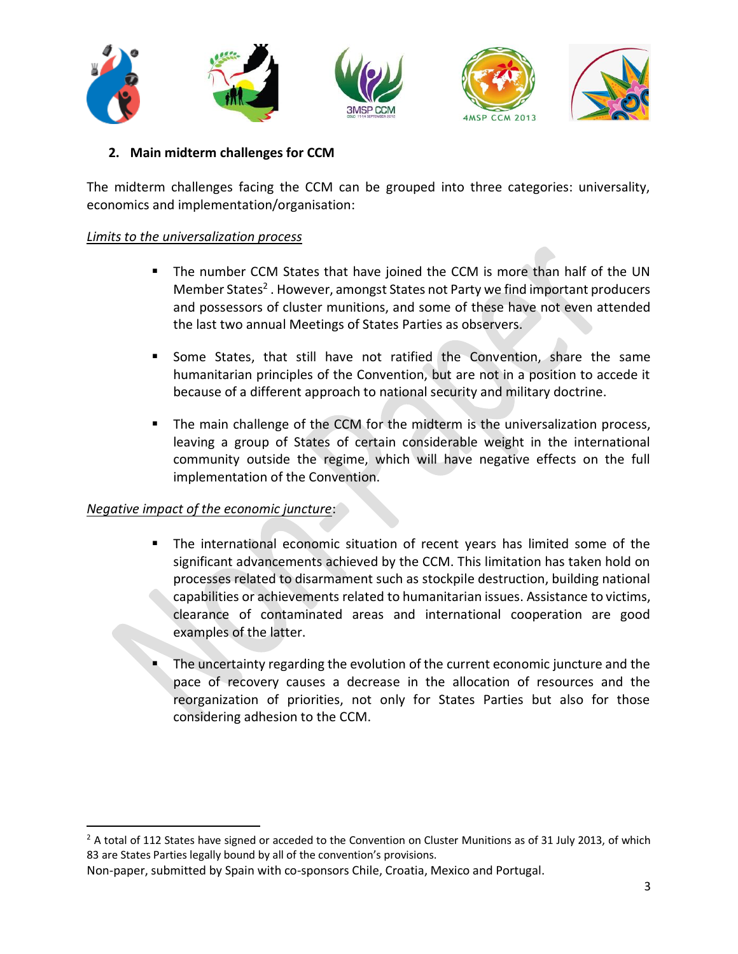

**2. Main midterm challenges for CCM**

The midterm challenges facing the CCM can be grouped into three categories: universality, economics and implementation/organisation:

### *Limits to the universalization process*

- The number CCM States that have joined the CCM is more than half of the UN Member States<sup>2</sup>. However, amongst States not Party we find important producers and possessors of cluster munitions, and some of these have not even attended the last two annual Meetings of States Parties as observers.
- Some States, that still have not ratified the Convention, share the same humanitarian principles of the Convention, but are not in a position to accede it because of a different approach to national security and military doctrine.
- The main challenge of the CCM for the midterm is the universalization process, leaving a group of States of certain considerable weight in the international community outside the regime, which will have negative effects on the full implementation of the Convention.

#### *Negative impact of the economic juncture*:

 $\overline{\phantom{a}}$ 

- The international economic situation of recent years has limited some of the significant advancements achieved by the CCM. This limitation has taken hold on processes related to disarmament such as stockpile destruction, building national capabilities or achievements related to humanitarian issues. Assistance to victims, clearance of contaminated areas and international cooperation are good examples of the latter.
	- The uncertainty regarding the evolution of the current economic juncture and the pace of recovery causes a decrease in the allocation of resources and the reorganization of priorities, not only for States Parties but also for those considering adhesion to the CCM.

 $2$  A total of 112 States have signed or acceded to the Convention on Cluster Munitions as of 31 July 2013, of which 83 are States Parties legally bound by all of the convention's provisions.

Non-paper, submitted by Spain with co-sponsors Chile, Croatia, Mexico and Portugal.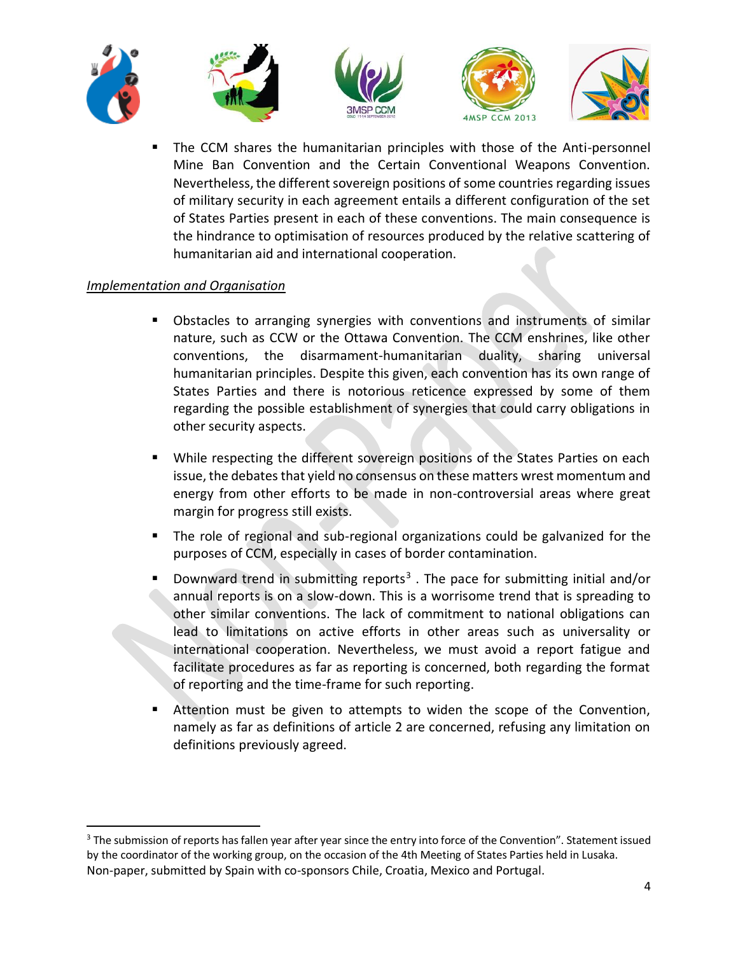

 The CCM shares the humanitarian principles with those of the Anti-personnel Mine Ban Convention and the Certain Conventional Weapons Convention. Nevertheless, the different sovereign positions of some countries regarding issues of military security in each agreement entails a different configuration of the set of States Parties present in each of these conventions. The main consequence is the hindrance to optimisation of resources produced by the relative scattering of humanitarian aid and international cooperation.

## *Implementation and Organisation*

 $\overline{\phantom{a}}$ 

- Obstacles to arranging synergies with conventions and instruments of similar nature, such as CCW or the Ottawa Convention. The CCM enshrines, like other conventions, the disarmament-humanitarian duality, sharing universal humanitarian principles. Despite this given, each convention has its own range of States Parties and there is notorious reticence expressed by some of them regarding the possible establishment of synergies that could carry obligations in other security aspects.
- **While respecting the different sovereign positions of the States Parties on each** issue, the debates that yield no consensus on these matters wrest momentum and energy from other efforts to be made in non-controversial areas where great margin for progress still exists.
- The role of regional and sub-regional organizations could be galvanized for the purposes of CCM, especially in cases of border contamination.
- **Downward trend in submitting reports<sup>3</sup>**. The pace for submitting initial and/or annual reports is on a slow-down. This is a worrisome trend that is spreading to other similar conventions. The lack of commitment to national obligations can lead to limitations on active efforts in other areas such as universality or international cooperation. Nevertheless, we must avoid a report fatigue and facilitate procedures as far as reporting is concerned, both regarding the format of reporting and the time-frame for such reporting.
- Attention must be given to attempts to widen the scope of the Convention, namely as far as definitions of article 2 are concerned, refusing any limitation on definitions previously agreed.

Non-paper, submitted by Spain with co-sponsors Chile, Croatia, Mexico and Portugal. <sup>3</sup> The submission of reports has fallen year after year since the entry into force of the Convention". Statement issued by the coordinator of the working group, on the occasion of the 4th Meeting of States Parties held in Lusaka.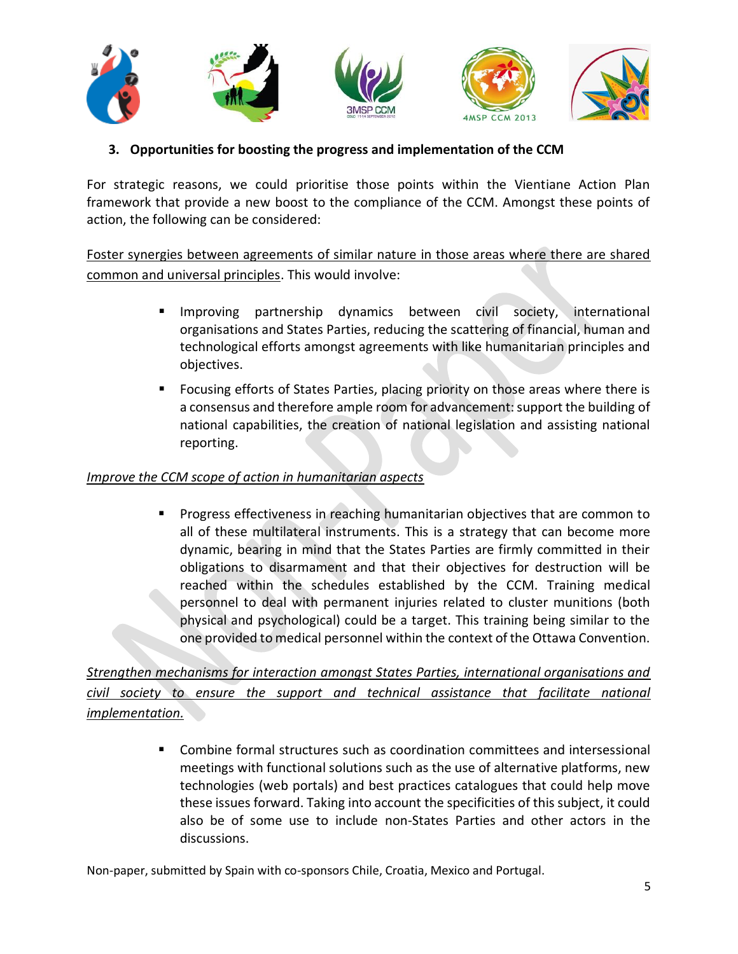

# **3. Opportunities for boosting the progress and implementation of the CCM**

For strategic reasons, we could prioritise those points within the Vientiane Action Plan framework that provide a new boost to the compliance of the CCM. Amongst these points of action, the following can be considered:

Foster synergies between agreements of similar nature in those areas where there are shared common and universal principles. This would involve:

- **Improving partnership dynamics between civil society, international** organisations and States Parties, reducing the scattering of financial, human and technological efforts amongst agreements with like humanitarian principles and objectives.
- Focusing efforts of States Parties, placing priority on those areas where there is a consensus and therefore ample room for advancement: support the building of national capabilities, the creation of national legislation and assisting national reporting.

### *Improve the CCM scope of action in humanitarian aspects*

 Progress effectiveness in reaching humanitarian objectives that are common to all of these multilateral instruments. This is a strategy that can become more dynamic, bearing in mind that the States Parties are firmly committed in their obligations to disarmament and that their objectives for destruction will be reached within the schedules established by the CCM. Training medical personnel to deal with permanent injuries related to cluster munitions (both physical and psychological) could be a target. This training being similar to the one provided to medical personnel within the context of the Ottawa Convention.

*Strengthen mechanisms for interaction amongst States Parties, international organisations and civil society to ensure the support and technical assistance that facilitate national implementation.*

> Combine formal structures such as coordination committees and intersessional meetings with functional solutions such as the use of alternative platforms, new technologies (web portals) and best practices catalogues that could help move these issues forward. Taking into account the specificities of this subject, it could also be of some use to include non-States Parties and other actors in the discussions.

Non-paper, submitted by Spain with co-sponsors Chile, Croatia, Mexico and Portugal.